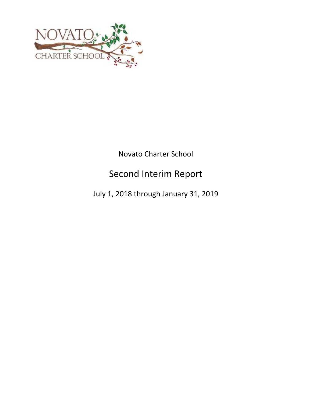

# Novato Charter School

# Second Interim Report

July 1, 2018 through January 31, 2019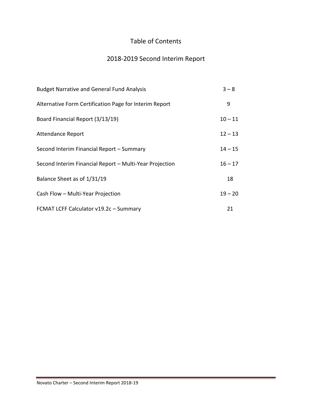# Table of Contents

# 2018-2019 Second Interim Report

| <b>Budget Narrative and General Fund Analysis</b>       | $3 - 8$   |
|---------------------------------------------------------|-----------|
| Alternative Form Certification Page for Interim Report  | 9         |
| Board Financial Report (3/13/19)                        | $10 - 11$ |
| <b>Attendance Report</b>                                | $12 - 13$ |
| Second Interim Financial Report - Summary               | $14 - 15$ |
| Second Interim Financial Report - Multi-Year Projection | $16 - 17$ |
| Balance Sheet as of 1/31/19                             | 18        |
| Cash Flow - Multi-Year Projection                       | $19 - 20$ |
| FCMAT LCFF Calculator v19.2c - Summary                  | 21        |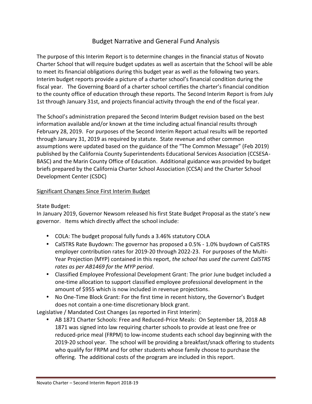# Budget Narrative and General Fund Analysis

The purpose of this Interim Report is to determine changes in the financial status of Novato Charter School that will require budget updates as well as ascertain that the School will be able to meet its financial obligations during this budget year as well as the following two years. Interim budget reports provide a picture of a charter school's financial condition during the fiscal year. The Governing Board of a charter school certifies the charter's financial condition to the county office of education through these reports. The Second Interim Report is from July 1st through January 31st, and projects financial activity through the end of the fiscal year.

The School's administration prepared the Second Interim Budget revision based on the best information available and/or known at the time including actual financial results through February 28, 2019. For purposes of the Second Interim Report actual results will be reported through January 31, 2019 as required by statute. State revenue and other common assumptions were updated based on the guidance of the "The Common Message" (Feb 2019) published by the California County Superintendents Educational Services Association (CCSESA- BASC) and the Marin County Office of Education. Additional guidance was provided by budget briefs prepared by the California Charter School Association (CCSA) and the Charter School Development Center (CSDC)

## Significant Changes Since First Interim Budget

## State Budget:

In January 2019, Governor Newsom released his first State Budget Proposal as the state's new governor. Items which directly affect the school include:

- COLA: The budget proposal fully funds a 3.46% statutory COLA
- CalSTRS Rate Buydown: The governor has proposed a 0.5% 1.0% buydown of CalSTRS employer contribution rates for 2019-20 through 2022-23. For purposes of the Multi- Year Projection (MYP) contained in this report, *the school has used the current CalSTRS rates as per AB1469 for the MYP period*.
- Classified Employee Professional Development Grant: The prior June budget included a one-time allocation to support classified employee professional development in the amount of \$955 which is now included in revenue projections.
- No One-Time Block Grant: For the first time in recent history, the Governor's Budget does not contain a one-time discretionary block grant.

Legislative / Mandated Cost Changes (as reported in First Interim):

 AB 1871 Charter Schools: Free and Reduced-Price Meals: On September 18, 2018 AB 1871 was signed into law requiring charter schools to provide at least one free or reduced-price meal (FRPM) to low-income students each school day beginning with the 2019-20 school year. The school will be providing a breakfast/snack offering to students who qualify for FRPM and for other students whose family choose to purchase the offering. The additional costs of the program are included in this report.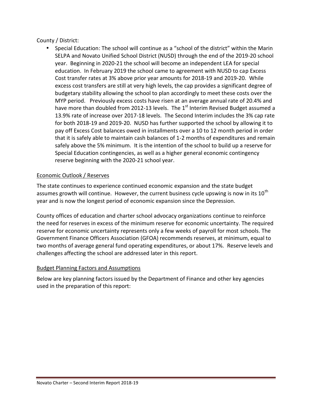## County / District:

 Special Education: The school will continue as a "school of the district" within the Marin SELPA and Novato Unified School District (NUSD) through the end of the 2019-20 school year. Beginning in 2020-21 the school will become an independent LEA for special education. In February 2019 the school came to agreement with NUSD to cap Excess Cost transfer rates at 3% above prior year amounts for 2018-19 and 2019-20. While excess cost transfers are still at very high levels, the cap provides a significant degree of budgetary stability allowing the school to plan accordingly to meet these costs over the MYP period. Previously excess costs have risen at an average annual rate of 20.4% and have more than doubled from 2012-13 levels. The  $1<sup>st</sup>$  Interim Revised Budget assumed a 13.9% rate of increase over 2017-18 levels. The Second Interim includes the 3% cap rate for both 2018-19 and 2019-20. NUSD has further supported the school by allowing it to pay off Excess Cost balances owed in installments over a 10 to 12 month period in order that it is safely able to maintain cash balances of 1-2 months of expenditures and remain safely above the 5% minimum. It is the intention of the school to build up a reserve for Special Education contingencies, as well as a higher general economic contingency reserve beginning with the 2020-21 school year.

## Economic Outlook / Reserves

The state continues to experience continued economic expansion and the state budget assumes growth will continue. However, the current business cycle upswing is now in its  $10^{th}$ year and is now the longest period of economic expansion since the Depression.

County offices of education and charter school advocacy organizations continue to reinforce the need for reserves in excess of the minimum reserve for economic uncertainty. The required reserve for economic uncertainty represents only a few weeks of payroll for most schools. The Government Finance Officers Association (GFOA) recommends reserves, at minimum, equal to two months of average general fund operating expenditures, or about 17%. Reserve levels and challenges affecting the school are addressed later in this report.

## Budget Planning Factors and Assumptions

Below are key planning factors issued by the Department of Finance and other key agencies used in the preparation of this report: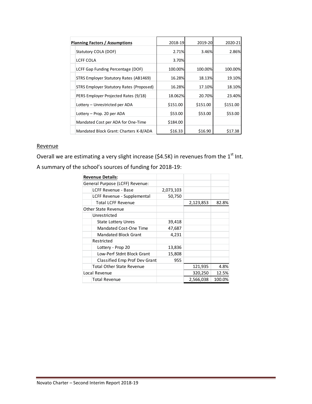| <b>Planning Factors / Assumptions</b>    | 2018-19  | 2019-20  | 2020-21  |
|------------------------------------------|----------|----------|----------|
| Statutory COLA (DOF)                     | 2.71%    | 3.46%    | 2.86%    |
| LCFF COLA                                | 3.70%    |          |          |
| LCFF Gap Funding Percentage (DOF)        | 100.00%  | 100.00%  | 100.00%  |
| STRS Employer Statutory Rates (AB1469)   | 16.28%   | 18.13%   | 19.10%   |
| STRS Employer Statutory Rates (Proposed) | 16.28%   | 17.10%   | 18.10%   |
| PERS Employer Projected Rates (9/18)     | 18.062%  | 20.70%   | 23.40%   |
| Lottery - Unrestricted per ADA           | \$151.00 | \$151.00 | \$151.00 |
| Lottery - Prop. 20 per ADA               | \$53.00  | \$53.00  | \$53.00  |
| Mandated Cost per ADA for One-Time       | \$184.00 |          |          |
| Mandated Block Grant: Charters K-8/ADA   | \$16.33  | \$16.90  | \$17.38  |

### Revenue

Overall we are estimating a very slight increase (\$4.5K) in revenues from the 1<sup>st</sup> Int.

A summary of the school's sources of funding for 2018-19:

| <b>Revenue Details:</b>          |           |           |        |
|----------------------------------|-----------|-----------|--------|
| General Purpose (LCFF) Revenue:  |           |           |        |
| LCFF Revenue - Base              | 2,073,103 |           |        |
| LCFF Revenue - Supplemental      | 50,750    |           |        |
| <b>Total LCFF Revenue</b>        |           | 2,123,853 | 82.8%  |
| Other State Revenue              |           |           |        |
| Unrestricted                     |           |           |        |
| <b>State Lottery Unres</b>       | 39,418    |           |        |
| <b>Mandated Cost-One Time</b>    | 47,687    |           |        |
| <b>Mandated Block Grant</b>      | 4,231     |           |        |
| Restricted                       |           |           |        |
| Lottery - Prop 20                | 13,836    |           |        |
| Low-Perf Stdnt Block Grant       | 15,808    |           |        |
| Classified Emp Prof Dev Grant    | 955       |           |        |
| <b>Total Other State Revenue</b> |           | 121,935   | 4.8%   |
| Local Revenue                    |           | 320,250   | 12.5%  |
| Total Revenue                    |           | 2,566,038 | 100.0% |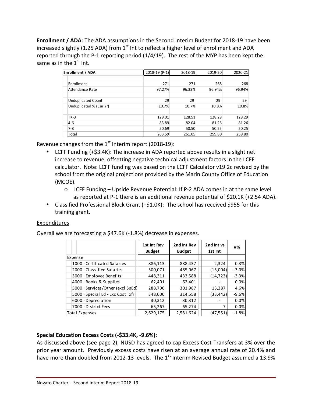**Enrollment / ADA**: The ADA assumptions in the Second Interim Budget for 2018-19 have been increased slightly (1.25 ADA) from  $1<sup>st</sup>$  Int to reflect a higher level of enrollment and ADA reported through the P-1 reporting period (1/4/19). The rest of the MYP has been kept the same as in the  $1<sup>st</sup>$  Int.

| Enrollment / ADA          | $2018-19$ (P-1) | 2018-19 | 2019-20 | 2020-21 |
|---------------------------|-----------------|---------|---------|---------|
|                           |                 |         |         |         |
| Enrollment                | 271             | 271     | 268     | 268     |
| <b>Attendance Rate</b>    | 97.27%          | 96.33%  | 96.94%  | 96.94%  |
|                           |                 |         |         |         |
| <b>Unduplicated Count</b> | 29              | 29      | 29      | 29      |
| Unduplicated % (Cur Yr)   | 10.7%           | 10.7%   | 10.8%   | 10.8%   |
|                           |                 |         |         |         |
| $TK-3$                    | 129.01          | 128.51  | 128.29  | 128.29  |
| $4-6$                     | 83.89           | 82.04   | 81.26   | 81.26   |
| $7-8$                     | 50.69           | 50.50   | 50.25   | 50.25   |
| Total                     | 263.59          | 261.05  | 259.80  | 259.80  |

Revenue changes from the 1<sup>st</sup> Interim report (2018-19):

- LCFF Funding (+\$3.4K): The increase in ADA reported above results in a slight net increase to revenue, offsetting negative technical adjustment factors in the LCFF calculator. Note: LCFF funding was based on the LCFF Calculator v19.2c revised by the school from the original projections provided by the Marin County Office of Education (MCOE).
	- o LCFF Funding Upside Revenue Potential: If P-2 ADA comes in at the same level as reported at P-1 there is an additional revenue potential of \$20.1K (+2.54 ADA).
- Classified Professional Block Grant (+\$1.0K): The school has received \$955 for this training grant.

## Expenditures

Overall we are forecasting a \$47.6K (-1.8%) decrease in expenses.

|                                    | 1st Int Rev<br><b>Budget</b> | 2nd Int Rev<br><b>Budget</b> | 2nd Int vs<br>1st Int | $V\%$   |
|------------------------------------|------------------------------|------------------------------|-----------------------|---------|
| Expense                            |                              |                              |                       |         |
| $1000 \cdot$ Certificated Salaries | 886,113                      | 888,437                      | 2,324                 | 0.3%    |
| $2000 \cdot$ Classified Salaries   | 500,071                      | 485,067                      | (15,004)              | $-3.0%$ |
| 3000 · Employee Benefits           | 448,311                      | 433,588                      | (14, 723)             | $-3.3%$ |
| 4000 · Books & Supplies            | 62,401                       | 62,401                       |                       | 0.0%    |
| 5000 · Services/Other (excl SpEd)  | 288,700                      | 301,987                      | 13,287                | 4.6%    |
| 5000 · Special Ed - Exc Cost Txfr  | 348,000                      | 314,558                      | (33, 442)             | $-9.6%$ |
| $6000 \cdot$ Depreciation          | 30,312                       | 30,312                       |                       | 0.0%    |
| 7000 · District Fees               | 65,267                       | 65,274                       |                       | 0.0%    |
| <b>Total Expenses</b>              | 2,629,175                    | 2,581,624                    | (47,551               | $-1.8%$ |

## **Special Education Excess Costs (-\$33.4K, -9.6%):**

As discussed above (see page 2), NUSD has agreed to cap Excess Cost Transfers at 3% over the prior year amount. Previously excess costs have risen at an average annual rate of 20.4% and have more than doubled from 2012-13 levels. The  $1<sup>st</sup>$  Interim Revised Budget assumed a 13.9%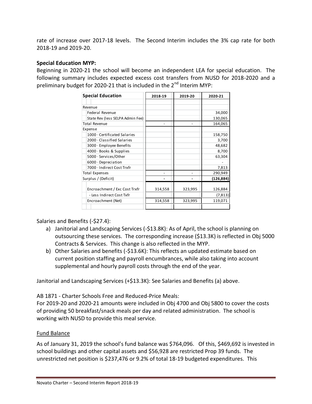rate of increase over 2017-18 levels. The Second Interim includes the 3% cap rate for both 2018-19 and 2019-20.

## **Special Education MYP:**

Beginning in 2020-21 the school will become an independent LEA for special education. The following summary includes expected excess cost transfers from NUSD for 2018-2020 and a preliminary budget for 2020-21 that is included in the 2<sup>nd</sup> Interim MYP:

| <b>Special Education</b>         | 2018-19 | 2019-20 | 2020-21    |
|----------------------------------|---------|---------|------------|
|                                  |         |         |            |
| Revenue                          |         |         |            |
| Federal Revenue                  |         |         | 34,000     |
| State Rev (less SELPA Admin Fee) |         |         | 130,065    |
| <b>Total Revenue</b>             |         |         | 164,065    |
| Expense                          |         |         |            |
| 1000 · Certificated Salaries     |         |         | 158,750    |
| $2000 \cdot$ Classified Salaries |         |         | 3,700      |
| 3000 · Employee Benefits         |         |         | 48,682     |
| $4000 \cdot$ Books & Supplies    |         |         | 8,700      |
| 5000 · Services/Other            |         |         | 63,304     |
| 6000 · Depreciation              |         |         |            |
| 7000 · Indirect Cost Trxfr       |         |         | 7,813      |
| Total Expenses                   |         |         | 290,949    |
| Surplus / (Deficit)              |         |         | (126, 884) |
|                                  |         |         |            |
| Encroachment / Exc Cost Trxfr    | 314,558 | 323,995 | 126,884    |
| - Less Indirect Cost Txfr        |         |         | (7, 813)   |
| Encroachment (Net)               | 314,558 | 323,995 | 119,071    |
|                                  |         |         |            |

## Salaries and Benefits (-\$27.4):

- a) Janitorial and Landscaping Services (-\$13.8K): As of April, the school is planning on outsourcing these services. The corresponding increase (\$13.3K) is reflected in Obj 5000 Contracts & Services. This change is also reflected in the MYP.
- b) Other Salaries and benefits (-\$13.6K): This reflects an updated estimate based on current position staffing and payroll encumbrances, while also taking into account supplemental and hourly payroll costs through the end of the year.

Janitorial and Landscaping Services (+\$13.3K): See Salaries and Benefits (a) above.

AB 1871 - Charter Schools Free and Reduced-Price Meals:

For 2019-20 and 2020-21 amounts were included in Obj 4700 and Obj 5800 to cover the costs of providing 50 breakfast/snack meals per day and related administration. The school is working with NUSD to provide this meal service.

## Fund Balance

As of January 31, 2019 the school's fund balance was \$764,096. Of this, \$469,692 is invested in school buildings and other capital assets and \$56,928 are restricted Prop 39 funds. The unrestricted net position is \$237,476 or 9.2% of total 18-19 budgeted expenditures. This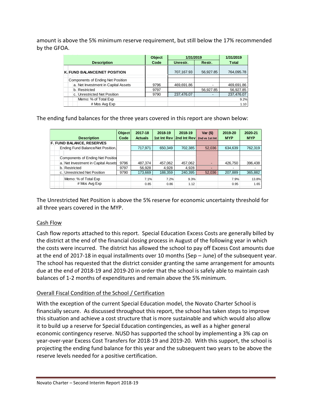amount is above the 5% minimum reserve requirement, but still below the 17% recommended by the GFOA.

|                                     | Object | 1/31/2019  |           | 1/31/2019    |
|-------------------------------------|--------|------------|-----------|--------------|
| <b>Description</b>                  | Code   | Unrestr.   | Restr.    | <b>Total</b> |
| <b>K. FUND BALANCE/NET POSITION</b> |        | 707,167.93 | 56,927.85 | 764,095.78   |
| Components of Ending Net Position   |        |            |           |              |
| a. Net Investment in Capital Assets | 9796   | 469,691.86 |           | 469,691.86   |
| b. Restricted                       | 9797   |            | 56,927.85 | 56,927.85    |
| c. Unrestricted Net Position        | 9790   | 237,476.07 |           | 237,476.07   |
| Memo: % of Total Exp                |        |            |           | 9.2%         |
| # Mos Avg Exp                       |        |            |           | 1.10         |

The ending fund balances for the three years covered in this report are shown below:

|  | <b>Description</b>                  | <b>Object</b><br>Code | 2017-18<br><b>Actuals</b> | 2018-19 | 2018-19<br>1st Int Rev   2nd Int Rev   2nd vs 1st Int | Var $($ \$) | 2019-20<br><b>MYP</b> | 2020-21<br><b>MYP</b> |
|--|-------------------------------------|-----------------------|---------------------------|---------|-------------------------------------------------------|-------------|-----------------------|-----------------------|
|  | <b>F. FUND BALANCE, RESERVES</b>    |                       |                           |         |                                                       |             |                       |                       |
|  | Ending Fund Balance/Net Position,   |                       | 717,971                   | 650,349 | 702,385                                               | 52,036      | 634,639               | 762,319               |
|  |                                     |                       |                           |         |                                                       |             |                       |                       |
|  | Components of Ending Net Position   |                       |                           |         |                                                       |             |                       |                       |
|  | a. Net Investment in Capital Assets | 9796                  | 487,374                   | 457.062 | 457,062                                               |             | 426,750               | 396,438               |
|  | b. Restricted                       | 9797                  | 56,928                    | 4,928   | 4,928                                                 | -           |                       |                       |
|  | c. Unrestricted Net Position        | 9790                  | 173,669                   | 188,359 | 240,395                                               | 52,036      | 207,889               | 365,882               |
|  | Memo: % of Total Exp                |                       | 7.1%                      | 7.2%    | 9.3%                                                  |             | 7.9%                  | 13.8%                 |
|  | # Mos Avg Exp                       |                       | 0.85                      | 0.86    | 1.12                                                  |             | 0.95                  | 1.65                  |

The Unrestricted Net Position is above the 5% reserve for economic uncertainty threshold for all three years covered in the MYP.

## Cash Flow

Cash flow reports attached to this report. Special Education Excess Costs are generally billed by the district at the end of the financial closing process in August of the following year in which the costs were incurred. The district has allowed the school to pay off Excess Cost amounts due at the end of 2017-18 in equal installments over 10 months (Sep – June) of the subsequent year. The school has requested that the district consider granting the same arrangement for amounts due at the end of 2018-19 and 2019-20 in order that the school is safely able to maintain cash balances of 1-2 months of expenditures and remain above the 5% minimum.

## Overall Fiscal Condition of the School / Certification

With the exception of the current Special Education model, the Novato Charter School is financially secure. As discussed throughout this report, the school has taken steps to improve this situation and achieve a cost structure that is more sustainable and which would also allow it to build up a reserve for Special Education contingencies, as well as a higher general economic contingency reserve. NUSD has supported the school by implementing a 3% cap on year-over-year Excess Cost Transfers for 2018-19 and 2019-20. With this support, the school is projecting the ending fund balance for this year and the subsequent two years to be above the reserve levels needed for a positive certification.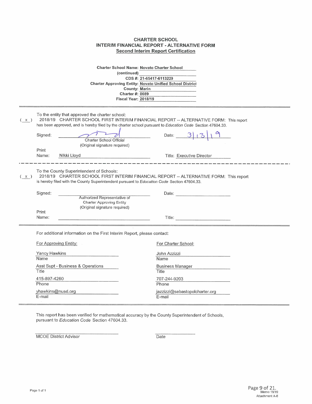### **CHARTER SCHOOL** INTERIM FINANCIAL REPORT - ALTERNATIVE FORM **Second Interim Report Certification**

|                                                                         | Charter School Name: Novato Charter School<br>(continued)<br>CDS #: 21-65417-6113229<br><b>Charter Approving Entity: Novato Unified School District</b><br><b>County: Marin</b><br><b>Charter #: 0089</b><br><b>Fiscal Year: 2018/19</b>               |                                                                                                                                                                                                                                |  |  |  |  |  |  |
|-------------------------------------------------------------------------|--------------------------------------------------------------------------------------------------------------------------------------------------------------------------------------------------------------------------------------------------------|--------------------------------------------------------------------------------------------------------------------------------------------------------------------------------------------------------------------------------|--|--|--|--|--|--|
| (x)                                                                     | To the entity that approved the charter school:<br>2018/19 CHARTER SCHOOL FIRST INTERIM FINANCIAL REPORT -- ALTERNATIVE FORM: This report<br>has been approved, and is hereby filed by the charter school pursuant to Education Code Section 47604.33. |                                                                                                                                                                                                                                |  |  |  |  |  |  |
|                                                                         | Signed:<br>Charter School Official<br>(Original signature required)                                                                                                                                                                                    | Date: $3 $                                                                                                                                                                                                                     |  |  |  |  |  |  |
|                                                                         | Print<br>Nikki Lloyd<br>Name:                                                                                                                                                                                                                          | Title: Executive Director                                                                                                                                                                                                      |  |  |  |  |  |  |
| (x)                                                                     | To the County Superintendent of Schools:<br>2018/19 CHARTER SCHOOL FIRST INTERIM FINANCIAL REPORT -- ALTERNATIVE FORM: This report<br>is hereby filed with the County Superintendent pursuant to Education Code Section 47604.33.                      |                                                                                                                                                                                                                                |  |  |  |  |  |  |
|                                                                         | Signed:<br>Authorized Representative of<br><b>Charter Approving Entity</b><br>(Original signature required)                                                                                                                                            |                                                                                                                                                                                                                                |  |  |  |  |  |  |
|                                                                         | Print<br>Name:                                                                                                                                                                                                                                         | Title: The contract of the contract of the contract of the contract of the contract of the contract of the contract of the contract of the contract of the contract of the contract of the contract of the contract of the con |  |  |  |  |  |  |
| For additional information on the First Interim Report, please contact: |                                                                                                                                                                                                                                                        |                                                                                                                                                                                                                                |  |  |  |  |  |  |
|                                                                         | For Approving Entity:                                                                                                                                                                                                                                  | For Charter School:                                                                                                                                                                                                            |  |  |  |  |  |  |
|                                                                         | Yancy Hawkins<br>Name                                                                                                                                                                                                                                  | John Azzizzi<br>Name                                                                                                                                                                                                           |  |  |  |  |  |  |
|                                                                         | Asst Supt - Business & Operations<br>Title                                                                                                                                                                                                             | <b>Business Manager</b><br>Title                                                                                                                                                                                               |  |  |  |  |  |  |
|                                                                         | 415-897-4260<br>Phone                                                                                                                                                                                                                                  | 707-244-9203<br>Phone                                                                                                                                                                                                          |  |  |  |  |  |  |
|                                                                         | yhawkins@nusd.org<br>E-mail                                                                                                                                                                                                                            | jazzizzi@sebastopolcharter.org<br>E-mail                                                                                                                                                                                       |  |  |  |  |  |  |

This report has been verified for mathematical accuracy by the County Superintendent of Schools, pursuant to Education Code Section 47604.33.

**MCOE District Advisor** 

Date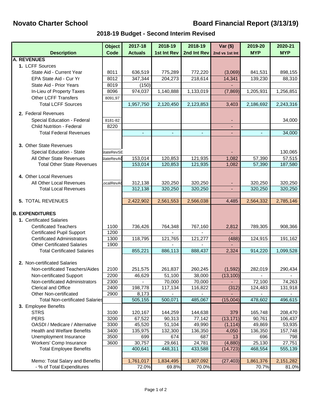# **Novato Charter School Novato Charter School Charter School Board Financial Report (3/13/19)**

# **2018-19 Budget - Second Interim Revised**

|                                                             | <b>Object</b>     | 2017-18        | 2018-19          | 2018-19          | Var $($ \$)    | 2019-20                  | 2020-21    |
|-------------------------------------------------------------|-------------------|----------------|------------------|------------------|----------------|--------------------------|------------|
| <b>Description</b>                                          | Code              | <b>Actuals</b> | 1st Int Rev      | 2nd Int Rev      | 2nd vs 1st Int | <b>MYP</b>               | <b>MYP</b> |
| <b>A. REVENUES</b>                                          |                   |                |                  |                  |                |                          |            |
| 1. LCFF Sources                                             |                   |                |                  |                  |                |                          |            |
| State Aid - Current Year                                    | 8011              | 636,519        | 775,289          | 772,220          | (3,069)        | 841,531                  | 898,155    |
| EPA State Aid - Cur Yr                                      | 8012              | 347,344        | 204,273          | 218,614          | 14,341         | 139,230                  | 88,310     |
| State Aid - Prior Years                                     | 8019              | (150)          |                  |                  |                |                          |            |
| In-Lieu of Property Taxes                                   | 8096              | 974,037        | 1,140,888        | 1,133,019        | (7, 869)       | 1,205,931                | 1,256,851  |
| Other LCFF Transfers                                        | 8091,97           |                |                  |                  |                |                          |            |
| <b>Total LCFF Sources</b>                                   |                   | 1,957,750      | 2,120,450        | 2,123,853        | 3,403          | 2,186,692                | 2,243,316  |
| 2. Federal Revenues                                         |                   |                |                  |                  |                |                          |            |
| Special Education - Federal                                 | 8181-82           |                |                  |                  |                |                          | 34,000     |
| <b>Child Nutrition - Federal</b>                            | 8220              |                |                  |                  |                |                          |            |
| <b>Total Federal Revenues</b>                               |                   | $\blacksquare$ | $\blacksquare$   | $\sim$           |                |                          | 34,000     |
|                                                             |                   |                |                  |                  |                |                          |            |
| 3. Other State Revenues                                     |                   |                |                  |                  |                |                          |            |
| Special Education - State                                   | <b>StateRevSE</b> |                |                  |                  |                |                          | 130,065    |
| All Other State Revenues                                    | StateRevA0        | 153,014        | 120,853          | 121,935          | 1,082          | 57,390                   | 57,515     |
| <b>Total Other State Revenues</b>                           |                   | 153,014        | 120,853          | 121,935          | 1,082          | 57,390                   | 187,580    |
| 4. Other Local Revenues                                     |                   |                |                  |                  |                |                          |            |
| All Other Local Revenues                                    | .ocalRevA         | 312,138        | 320,250          | 320,250          |                | 320,250                  | 320,250    |
| <b>Total Local Revenues</b>                                 |                   | 312,138        | 320,250          | 320,250          |                | 320,250                  | 320,250    |
|                                                             |                   |                |                  |                  |                |                          |            |
| 5. TOTAL REVENUES                                           |                   | 2,422,902      | 2,561,553        | 2,566,038        | 4,485          | 2,564,332                | 2,785,146  |
|                                                             |                   |                |                  |                  |                |                          |            |
| <b>B. EXPENDITURES</b>                                      |                   |                |                  |                  |                |                          |            |
| 1. Certificated Salaries                                    |                   |                |                  |                  |                |                          |            |
| <b>Certificated Teachers</b>                                | 1100              | 736,426        | 764,348          | 767,160          | 2,812          | 789,305                  | 908,366    |
| <b>Certificated Pupil Support</b>                           | 1200              |                |                  |                  |                |                          |            |
| <b>Certificated Administrators</b>                          | 1300              | 118,795        | 121,765          | 121,277          | (488)          | 124,915                  | 191,162    |
| <b>Other Certificated Salaries</b>                          | 1900              |                |                  |                  |                |                          |            |
| <b>Total Certificated Salaries</b>                          |                   | 855,221        | 886,113          | 888,437          | 2,324          | 914,220                  | 1,099,528  |
| 2. Non-certificated Salaries                                |                   |                |                  |                  |                |                          |            |
|                                                             | 2100              |                | 261,837          | 260,245          |                | 282,019                  | 290,434    |
| Non-certificated Teachers/Aides                             |                   | 251,575        |                  |                  | (1,592)        |                          |            |
| Non-certificated Support<br>Non-certificated Administrators | 2200<br>2300      | 46,629         | 51,100<br>70,000 | 38,000<br>70,000 | (13, 100)      | $\blacksquare$<br>72,100 | 74,263     |
| <b>Clerical and Office</b>                                  | 2400              | 198,778        | 117,134          | 116,822          | (312)          | 124,483                  | 131,918    |
| <b>Other Non-certificated</b>                               | 2900              | 8,173          |                  |                  |                |                          |            |
| <b>Total Non-certificated Salaries</b>                      |                   | 505,155        | 500,071          | 485,067          | (15,004)       | 478,602                  | 496,615    |
| 3. Employee Benefits                                        |                   |                |                  |                  |                |                          |            |
| <b>STRS</b>                                                 | 3100              | 120,167        | 144,259          | 144,638          | 379            | 165,748                  | 208,470    |
| <b>PERS</b>                                                 | 3200              | 67,522         | 90,313           | 77,142           | (13, 171)      | 90,761                   | 106,437    |
| OASDI / Medicare / Alternative                              | 3300              | 45,520         | 51,104           | 49,990           | (1, 114)       | 49,869                   | 53,935     |
| <b>Health and Welfare Benefits</b>                          | 3400              | 135,975        | 132,300          | 136,350          | 4,050          | 136,350                  | 157,748    |
| Unemployment Insurance                                      | 3500              | 699            | 674              | 687              | 13             | 696                      | 798        |
| Workers' Comp Insurance                                     | 3600              | 30,757         | 29,661           | 24,781           | (4,880)        | 25,130                   | 27,751     |
| <b>Total Employee Benefits</b>                              |                   | 400,641        | 448,311          | 433,588          | (14, 723)      | 468,554                  | 555,139    |
|                                                             |                   |                |                  |                  |                |                          |            |
| Memo: Total Salary and Benefits                             |                   | 1,761,017      | 1,834,495        | 1,807,092        | (27, 403)      | 1,861,376                | 2,151,282  |
| - % of Total Expenditures                                   |                   | 72.0%          | 69.8%            | 70.0%            |                | 70.7%                    | 81.0%      |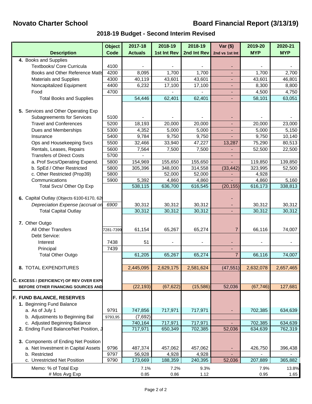# **Novato Charter School Charter School Charter School Board Financial Report (3/13/19)**

# **2018-19 Budget - Second Interim Revised**

|                                           | <b>Object</b> | 2017-18        | 2018-19            | 2018-19     | $Var($)$       | 2019-20    | 2020-21    |
|-------------------------------------------|---------------|----------------|--------------------|-------------|----------------|------------|------------|
| <b>Description</b>                        | Code          | <b>Actuals</b> | <b>1st Int Rev</b> | 2nd Int Rev | 2nd vs 1st Int | <b>MYP</b> | <b>MYP</b> |
| 4. Books and Supplies                     |               |                |                    |             |                |            |            |
| Textbooks/ Core Curricula                 | 4100          |                |                    |             | ٠              |            |            |
| Books and Other Reference Matls           | 4200          | 8,095          | 1,700              | 1,700       |                | 1,700      | 2,700      |
| <b>Materials and Supplies</b>             | 4300          | 40,119         | 43,601             | 43,601      | ٠              | 43,601     | 46,801     |
| Noncapitalized Equipment                  | 4400          | 6,232          | 17,100             | 17,100      | $\blacksquare$ | 8,300      | 8,800      |
| Food                                      | 4700          |                |                    |             |                | 4,500      | 4,750      |
| <b>Total Books and Supplies</b>           |               | 54,446         | 62,401             | 62,401      | $\blacksquare$ | 58,101     | 63,051     |
|                                           |               |                |                    |             |                |            |            |
| 5. Services and Other Operating Exp       |               |                |                    |             |                |            |            |
| <b>Subagreements for Services</b>         | 5100          |                |                    |             |                |            |            |
| <b>Travel and Conferences</b>             | 5200          | 18,193         | 20,000             | 20,000      |                | 20,000     | 23,000     |
| Dues and Memberships                      | 5300          | 4,352          | 5,000              | 5,000       |                | 5,000      | 5,150      |
| Insurance                                 | 5400          | 9,784          | 9,750              | 9,750       |                | 9,750      | 10,140     |
| Ops and Housekeeping Svcs                 | 5500          | 32,466         | 33,940             | 47,227      | 13,287         | 75,290     | 80,513     |
| Rentals, Leases, Repairs                  | 5600          | 7,564          | 7,500              | 7,500       |                | 52,500     | 22,500     |
| <b>Transfers of Direct Costs</b>          | 5700          |                |                    |             |                |            |            |
| a. Prof Svcs/Operating Expend.            | 5800          | 154,969        | 155,650            | 155,650     |                | 119,850    | 139,850    |
| b. SpEd / Other Restricted                | 5800          | 305,396        | 348,000            | 314,558     | (33, 442)      | 323,995    | 52,500     |
| c. Other Restricted (Prop39)              | 5800          |                | 52,000             | 52,000      |                | 4,928      |            |
| Communications                            | 5900          | 5,392          | 4,860              | 4,860       |                | 4,860      | 5,160      |
| Total Svcs/ Other Op Exp                  |               | 538,115        | 636,700            | 616,545     | (20, 155)      | 616,173    | 338,813    |
|                                           |               |                |                    |             |                |            |            |
| 6. Capital Outlay (Objects 6100-6170, 62  |               |                |                    |             |                |            |            |
| Depreciation Expense (accrual or          | 6900          | 30,312         | 30,312             | 30,312      |                | 30,312     | 30,312     |
| <b>Total Capital Outlay</b>               |               | 30,312         | 30,312             | 30,312      | $\blacksquare$ | 30,312     | 30,312     |
| 7. Other Outgo                            |               |                |                    |             |                |            |            |
| All Other Transfers                       |               | 61,154         | 65,267             | 65,274      | 7              | 66,116     | 74,007     |
| Debt Service:                             | 7281-7399     |                |                    |             |                |            |            |
| Interest                                  | 7438          | 51             |                    |             |                |            |            |
| Principal                                 | 7439          |                | $\blacksquare$     |             |                |            |            |
| <b>Total Other Outgo</b>                  |               | 61,205         | 65,267             | 65,274      | $\overline{7}$ | 66,116     | 74,007     |
|                                           |               |                |                    |             |                |            |            |
| 8. TOTAL EXPENDITURES                     |               | 2,445,095      | 2,629,175          | 2,581,624   | (47, 551)      | 2,632,078  | 2,657,465  |
|                                           |               |                |                    |             |                |            |            |
| C. EXCESS / (DEFICIENCY) OF REV OVER EXPI |               |                |                    |             |                |            |            |
| BEFORE OTHER FINANCING SOURCES AND        |               | (22, 193)      | (67, 622)          | (15, 586)   | 52,036         | (67, 746)  | 127,681    |
|                                           |               |                |                    |             |                |            |            |
| F. FUND BALANCE, RESERVES                 |               |                |                    |             |                |            |            |
| 1. Beginning Fund Balance                 |               |                |                    |             |                |            |            |
| a. As of July 1                           | 9791          | 747,856        | 717,971            | 717,971     |                | 702,385    | 634,639    |
| b. Adjustments to Beginning Bal           | 9793,95       | (7,692)        |                    |             |                |            |            |
| c. Adjusted Beginning Balance             |               | 740,164        | 717,971            | 717,971     |                | 702,385    | 634,639    |
| 2. Ending Fund Balance/Net Position, J    |               | 717,971        | 650,349            | 702,385     | 52,036         | 634,639    | 762,319    |
|                                           |               |                |                    |             |                |            |            |
| 3. Components of Ending Net Position      |               |                |                    |             |                |            |            |
| a. Net Investment in Capital Assets       | 9796          | 487,374        | 457,062            | 457,062     | ٠              | 426,750    | 396,438    |
| b. Restricted                             | 9797          | 56,928         | 4,928              | 4,928       |                |            |            |
| c. Unrestricted Net Position              | 9790          | 173,669        | 188,359            | 240,395     | 52,036         | 207,889    | 365,882    |
| Memo: % of Total Exp                      |               | 7.1%           | 7.2%               | 9.3%        |                | 7.9%       | 13.8%      |
| # Mos Avg Exp                             |               | 0.85           | 0.86               | 1.12        |                | 0.95       | 1.65       |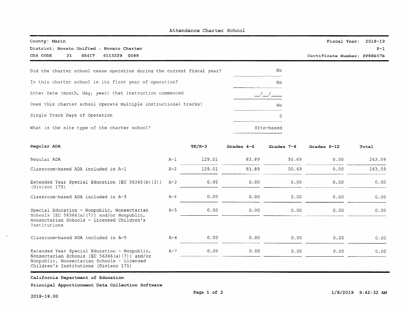|  | Attendance Charter School |  |  |
|--|---------------------------|--|--|
|--|---------------------------|--|--|

| County: Marin<br>District: Novato Unified : Novato Charter             |       |          |              |       |            |       |             | Fiscal Year:                 | 2018-19<br>$P-1$ |
|------------------------------------------------------------------------|-------|----------|--------------|-------|------------|-------|-------------|------------------------------|------------------|
| CDS CODE<br>21<br>65417<br>6113229 0089                                |       |          |              |       |            |       |             | Certificate Number: FF88E07E |                  |
| Did the charter school cease operation during the current fiscal year? |       |          |              |       | No         |       |             |                              |                  |
| Is this charter school in its first year of operation?                 |       |          |              |       | No         |       |             |                              |                  |
| Enter Date (month, day, year) that instruction commenced               |       |          |              |       |            |       |             |                              |                  |
| Does this charter school operate multiple instructional tracks?        |       |          |              |       | No         |       |             |                              |                  |
| Single Track Days of Operation                                         |       |          |              |       | 0          |       |             |                              |                  |
| What is the site type of the charter school?                           |       |          |              |       | Site-based |       |             |                              |                  |
| Regular ADA                                                            |       | $TK/K-3$ | Grades $4-6$ |       | Grades 7-8 |       | Grades 9-12 |                              | Total            |
| Regular ADA                                                            | $A-1$ | 129.01   |              | 83.89 |            | 50.69 |             | 0.00                         | 263.59           |

129.01

 $0.00$ 

 $0.00$ 

 $0.00$ 

 $0.00$ 

 $0.00$ 

83.89

 $0.00$ 

 $0.00$ 

 $0.00$ 

 $0.00$ 

 $0.00$ 

50.69

 $0.00$ 

 $0.00$ 

 $0.00$ 

 $0.00$ 

 $0.00$ 

 $0.00$ 

 $0.00$ 

 $0.00$ 

 $0.00$ 

 $0.00$ 

 $0.00$ 

263.59

 $0.00$ 

 $0.00$ 

 $0.00$ 

 $0.00$ 

 $0.00$ 

 $A - 2$ 

 $A-3$ 

 $A - 4$ 

 $A - 5$ 

 $A - 6$ 

 $A - 7$ 

| Classroom-based ADA included in A-1 |  |  |  |
|-------------------------------------|--|--|--|
|                                     |  |  |  |

| (Divisor 175) |  |                                              | Extended Year Special Education [EC 56345(b) (3)] |  |
|---------------|--|----------------------------------------------|---------------------------------------------------|--|
|               |  | Classroom-based ADA included in A-3          |                                                   |  |
|               |  | Special Education - Nonpublic, Nonsectarian. |                                                   |  |

Schools [EC 56366(a)(7)] and/or Nonpublic, Nonsectarian Schools - Licensed Children's Institutions

Classroom-based ADA included in A-5

Extended Year Special Education - Nonpublic, Nonsectarian Schools [EC 56366(a)(7)] and/or Nonpublic, Nonsectarian Schools - Licensed Children's Institutions (Divisor 175)

### California Department of Education

Principal Apportionment Data Collection Software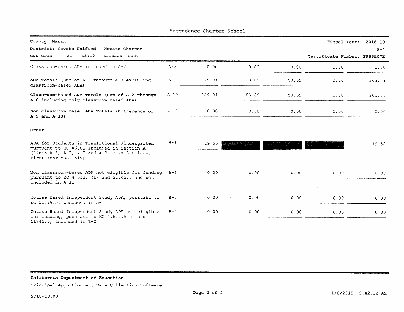| County: Marin                                                                                                                                                       |          |        |             |       | Fiscal Year: | $2018 - 19$                           |
|---------------------------------------------------------------------------------------------------------------------------------------------------------------------|----------|--------|-------------|-------|--------------|---------------------------------------|
| District: Novato Unified : Novato Charter<br>CDS CODE<br>21<br>65417<br>6113229 0089                                                                                |          |        |             |       |              | $P-1$<br>Certificate Number: FF88E07E |
| Classroom-based ADA included in A-7                                                                                                                                 | $A - 8$  | 0.00   | 0.00        | 0.00  | 0.00         | 0.00                                  |
| ADA Totals (Sum of A-1 through A-7 excluding<br>classroom-based ADA)                                                                                                | $A - 9$  | 129.01 | 83.89       | 50.69 | 0.00         | 263.59                                |
| Classroom-based ADA Totals (Sum of A-2 through<br>A-8 including only classroom-based ADA)                                                                           | $A-10$   | 129.01 | 83.89       | 50.69 | 0.00         | 263.59                                |
| Non classroom-based ADA Totals (Difference of<br>$A-9$ and $A-10$ )                                                                                                 | $A - 11$ | 0.00   | 0.00        | 0.00  | 0.00         | 0.00                                  |
| Other                                                                                                                                                               |          |        |             |       |              |                                       |
| ADA for Students in Transitional Kindergarten<br>pursuant to EC 46300 included in Section A<br>(Lines A-1, A-3, A-5 and A-7, TK/K-3 Column,<br>First Year ADA Only) | $B-1$    | 19.50  |             |       |              | 19.50                                 |
| Non classroom-based ADA not eligible for funding B-2<br>pursuant to EC 47612.5(b) and 51745.6 and not<br>included in A-11                                           |          | 0.00   | 0.00        | 0.00  | 0.00         | 0.00                                  |
| Course Based Independent Study ADA, pursuant to<br>EC 51749.5, included in $A-11$                                                                                   | $B-3$    |        | $0.00$ 0.00 | 0.00  |              | 0.00<br>in Maria San                  |
| Course Based Independent Study ADA not eligible<br>for funding, pursuant to EC 47612.5(b) and<br>51745.6, included in B-2                                           | $B-4$    | 0.00   | 0.00        |       | 0.00<br>0.00 | 0.00<br>0.00                          |

Attendance Charter School

California Department of Education

Principal Apportionment Data Collection Software

 $\mathcal{L}(\mathcal{F},\mathcal{F})$  and  $\mathcal{L}(\mathcal{F})$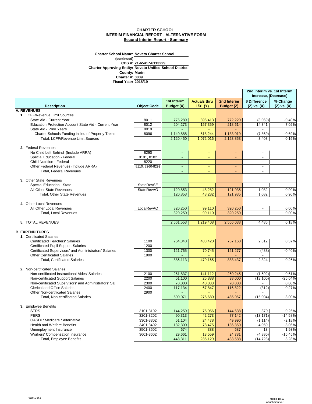### **CHARTER SCHOOL INTERIM FINANCIAL REPORT - ALTERNATIVE FORM Second Interim Report - Summary**

**Charter School Name: Novato Charter School** 

**(continued) Novato Unified School District County: Charter #: Fiscal Year: Marin 0089 2018/19 Charter Approving Entity: CDS #: 21-65417-6113229**

|                                                        |                    |                           |                                 |                           | 2nd Interim vs. 1st Interim<br>Increase, (Decrease) |                             |  |
|--------------------------------------------------------|--------------------|---------------------------|---------------------------------|---------------------------|-----------------------------------------------------|-----------------------------|--|
| <b>Description</b>                                     | <b>Object Code</b> | 1st Interim<br>Budget (X) | <b>Actuals thru</b><br>1/31 (Y) | 2nd Interim<br>Budget (Z) | \$ Difference<br>$(Z)$ vs. $(X)$                    | % Change<br>$(Z)$ vs. $(X)$ |  |
| <b>A. REVENUES</b>                                     |                    |                           |                                 |                           |                                                     |                             |  |
| 1. LCFF/Revenue Limit Sources                          |                    |                           |                                 |                           |                                                     |                             |  |
| State Aid - Current Year                               | 8011               | 775.289                   | 396,413                         | 772.220                   | (3,069)                                             | $-0.40%$                    |  |
| Education Protection Account State Aid - Current Year  | 8012               | 204,273                   | 157,359                         | 218,614                   | 14,341                                              | 7.02%                       |  |
| State Aid - Prior Years                                | 8019               |                           |                                 |                           |                                                     |                             |  |
| Charter Schools Funding in lieu of Property Taxes      | 8096               | 1,140,888                 | 518,244                         | 1,133,019                 | (7,869)                                             | $-0.69%$                    |  |
| Total, LCFF/Revenue Limit Sources                      |                    | 2,120,450                 | 1,072,016                       | 2,123,853                 | 3,403                                               | 0.16%                       |  |
| 2. Federal Revenues                                    |                    |                           |                                 |                           |                                                     |                             |  |
| No Child Left Behind (Include ARRA)                    | 8290               | $\omega$                  | ÷.                              | ÷.                        | $\sim$                                              |                             |  |
| Special Education - Federal                            | 8181, 8182         | $\blacksquare$            | ÷                               | $\blacksquare$            | $\sim$                                              |                             |  |
| Child Nutrition - Federal                              | 8220               | $\sim$                    | $\sim$                          | $\blacksquare$            | $\sim$                                              |                             |  |
| Other Federal Revenues (Include ARRA)                  | 8110, 8260-8299    | $\Box$                    |                                 |                           | $\overline{\phantom{a}}$                            |                             |  |
| Total, Federal Revenues                                |                    | ÷.                        | ÷                               | ÷.                        | $\blacksquare$                                      |                             |  |
| 3. Other State Revenues                                |                    |                           |                                 |                           |                                                     |                             |  |
| Special Education - State                              | <b>StateRevSE</b>  |                           |                                 |                           | $\sim$                                              |                             |  |
| All Other State Revenues                               | <b>StateRevAO</b>  | 120,853                   | 48,282                          | 121,935                   | 1,082                                               | 0.90%                       |  |
| <b>Total, Other State Revenues</b>                     |                    | 120,853                   | 48,282                          | 121,935                   | 1,082                                               | 0.90%                       |  |
|                                                        |                    |                           |                                 |                           |                                                     |                             |  |
| 4. Other Local Revenues                                |                    |                           |                                 |                           |                                                     |                             |  |
| All Other Local Revenues                               | LocalRevAO         | 320,250                   | 99,110                          | 320,250                   | $\overline{a}$                                      | 0.00%                       |  |
| <b>Total, Local Revenues</b>                           |                    | 320.250                   | 99.110                          | 320,250                   | $\blacksquare$                                      | 0.00%                       |  |
| 5. TOTAL REVENUES                                      |                    | 2,561,553                 | 1,219,408                       | 2,566,038                 | 4,485                                               | 0.18%                       |  |
| <b>B. EXPENDITURES</b>                                 |                    |                           |                                 |                           |                                                     |                             |  |
| 1. Certificated Salaries                               |                    |                           |                                 |                           |                                                     |                             |  |
| <b>Certificated Teachers' Salaries</b>                 | 1100               | 764,348                   | 408,420                         | 767,160                   | 2,812                                               | 0.37%                       |  |
| <b>Certificated Pupil Support Salaries</b>             | 1200               |                           |                                 |                           |                                                     |                             |  |
| Certificated Supervisors' and Administrators' Salaries | 1300               | 121,765                   | 70,745                          | 121,277                   | (488)                                               | $-0.40%$                    |  |
| <b>Other Certificated Salaries</b>                     | 1900               |                           |                                 |                           | $\sim$                                              |                             |  |
| <b>Total, Certificated Salaries</b>                    |                    | 886,113                   | 479,165                         | 888,437                   | 2,324                                               | 0.26%                       |  |
| 2. Non-certificated Salaries                           |                    |                           |                                 |                           |                                                     |                             |  |
| Non-certificated Instructional Aides' Salaries         | 2100               | 261,837                   | 141,112                         | 260,245                   | (1, 592)                                            | $-0.61%$                    |  |
| Non-certificated Support Salaries                      | 2200               | 51,100                    | 25,888                          | 38,000                    | (13, 100)                                           | $-25.64%$                   |  |
| Non-certificated Supervisors' and Administrators' Sal. | 2300               | 70,000                    | 40,833                          | 70.000                    |                                                     | 0.00%                       |  |
| <b>Clerical and Office Salaries</b>                    | 2400               | 117,134                   | 67,847                          | 116,822                   | (312)                                               | $-0.27%$                    |  |
| Other Non-certificated Salaries                        | 2900               |                           | $\sim$                          | ÷.                        | $\sim$                                              |                             |  |
| Total, Non-certificated Salaries                       |                    | 500,071                   | 275,680                         | 485,067                   | (15,004)                                            | $-3.00%$                    |  |
| 3. Employee Benefits                                   |                    |                           |                                 |                           |                                                     |                             |  |
| <b>STRS</b>                                            | 3101-3102          | 144,259                   | 75,956                          | 144,638                   | 379                                                 | 0.26%                       |  |
| <b>PERS</b>                                            | 3201-3202          | 90,313                    | 42,273                          | 77,142                    | (13, 171)                                           | $-14.58%$                   |  |
| OASDI / Medicare / Alternative                         | 3301-3302          | 51,104                    | 24,478                          | 49,990                    | (1, 114)                                            | $-2.18%$                    |  |
| <b>Health and Welfare Benefits</b>                     | 3401-3402          | 132,300                   | 78,475                          | 136,350                   | 4,050                                               | 3.06%                       |  |
| Unemployment Insurance                                 | 3501-3502          | 674                       | 388                             | 687                       | 13                                                  | 1.93%                       |  |
| <b>Workers' Compensation Insurance</b>                 | 3601-3602          | 29,661                    | 13,559                          | 24,781                    | (4,880)                                             | $-16.45%$                   |  |
| Total, Employee Benefits                               |                    | 448,311                   | 235,129                         | 433,588                   | (14, 723)                                           | $-3.28%$                    |  |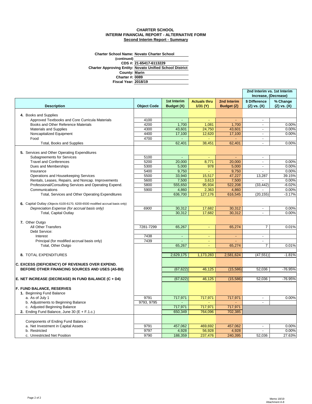### **CHARTER SCHOOL INTERIM FINANCIAL REPORT - ALTERNATIVE FORM Second Interim Report - Summary**

**Charter School Name: Novato Charter School** 

| (continued)                 |                                                          |
|-----------------------------|----------------------------------------------------------|
|                             | CDS #: 21-65417-6113229                                  |
|                             | Charter Approving Entity: Novato Unified School District |
| <b>County: Marin</b>        |                                                          |
| <b>Charter #: 0089</b>      |                                                          |
| <b>Fiscal Year: 2018/19</b> |                                                          |
|                             |                                                          |

|                                                                              |                    |                           |                                 |                           | 2nd Interim vs. 1st Interim      |                             |
|------------------------------------------------------------------------------|--------------------|---------------------------|---------------------------------|---------------------------|----------------------------------|-----------------------------|
|                                                                              |                    |                           |                                 |                           | Increase, (Decrease)             |                             |
| <b>Description</b>                                                           | <b>Object Code</b> | 1st Interim<br>Budget (X) | <b>Actuals thru</b><br>1/31 (Y) | 2nd Interim<br>Budget (Z) | \$ Difference<br>$(Z)$ vs. $(X)$ | % Change<br>$(Z)$ vs. $(X)$ |
|                                                                              |                    |                           |                                 |                           |                                  |                             |
| 4. Books and Supplies<br>Approved Textbooks and Core Curricula Materials     | 4100               |                           |                                 |                           | $\sim$                           |                             |
| Books and Other Reference Materials                                          | 4200               | 1,700                     | 1,081                           | 1,700                     | $\blacksquare$                   | 0.00%                       |
| <b>Materials and Supplies</b>                                                | 4300               | 43,601                    | 24,750                          | 43,601                    | $\overline{\phantom{a}}$         | 0.00%                       |
| Noncapitalized Equipment                                                     | 4400               |                           | 12,620                          | 17,100                    | $\sim$                           | 0.00%                       |
| Food                                                                         | 4700               | 17,100                    |                                 |                           | $\sim$                           |                             |
| Total, Books and Supplies                                                    |                    | 62,401                    | 38,451                          | 62,401                    | $\sim$                           | 0.00%                       |
|                                                                              |                    |                           |                                 |                           |                                  |                             |
| 5. Services and Other Operating Expenditures                                 |                    |                           |                                 |                           |                                  |                             |
| <b>Subagreements for Services</b>                                            | 5100               |                           |                                 |                           | $\overline{\phantom{a}}$         |                             |
| <b>Travel and Conferences</b>                                                | 5200               | 20,000                    | 8,771                           | 20,000                    | $\mathcal{L}$                    | 0.00%                       |
| Dues and Memberships                                                         | 5300               | 5,000                     | 978                             | 5,000                     | $\sim$                           | 0.00%                       |
| Insurance                                                                    | 5400               | 9,750                     | $\omega$                        | 9,750                     | $\mathbf{r}$                     | 0.00%                       |
| Operations and Housekeeping Services                                         | 5500               | 33,940                    | 15,517                          | 47,227                    | 13,287                           | 39.15%                      |
| Rentals, Leases, Repairs, and Noncap. Improvements                           | 5600               | 7,500                     | 3,613                           | 7,500                     |                                  | 0.00%                       |
| Professional/Consulting Services and Operating Expend.                       | 5800               | 555,650                   | 95,934                          | 522,208                   | (33, 442)                        | $-6.02%$                    |
| Communications                                                               | 5900               | 4,860                     | 2,363                           | 4,860                     |                                  | 0.00%                       |
| Total, Services and Other Operating Expenditures                             |                    | 636,700                   | 127,176                         | 616,545                   | (20, 155)                        | $-3.17%$                    |
|                                                                              |                    |                           |                                 |                           |                                  |                             |
| 6. Capital Outlay (Objects 6100-6170, 6200-6500 modified accrual basis only) |                    |                           |                                 |                           |                                  |                             |
| Depreciation Expense (for accrual basis only)                                | 6900               | 30,312                    | 17,682                          | 30,312                    | $\blacksquare$                   | 0.00%                       |
| <b>Total, Capital Outlay</b>                                                 |                    | 30,312                    | 17,682                          | 30,312                    | $\sim$                           | 0.00%                       |
|                                                                              |                    |                           |                                 |                           |                                  |                             |
| 7. Other Outgo                                                               |                    |                           |                                 |                           |                                  |                             |
| <b>All Other Transfers</b>                                                   | 7281-7299          | 65.267                    |                                 | 65,274                    | $\overline{7}$                   | 0.01%                       |
| Debt Service:                                                                |                    |                           |                                 |                           |                                  |                             |
| Interest                                                                     | 7438               | $\blacksquare$            | ٠                               | $\blacksquare$            | $\sim$                           |                             |
| Principal (for modified accrual basis only)                                  | 7439               | $\mathbb{L}$              | ÷.                              | ÷                         | $\blacksquare$                   |                             |
| Total, Other Outgo                                                           |                    | 65,267                    |                                 | 65,274                    | $\overline{7}$                   | 0.01%                       |
|                                                                              |                    |                           |                                 |                           |                                  |                             |
| 8. TOTAL EXPENDITURES                                                        |                    | 2,629,175                 | 1,173,283                       | 2,581,624                 | (47, 551)                        | $-1.81%$                    |
|                                                                              |                    |                           |                                 |                           |                                  |                             |
| C. EXCESS (DEFICIENCY) OF REVENUES OVER EXPEND.                              |                    |                           |                                 |                           |                                  |                             |
| BEFORE OTHER FINANCING SOURCES AND USES (A5-B8)                              |                    | (67, 622)                 | 46,125                          | (15, 586)                 | 52,036                           | $-76.95%$                   |
|                                                                              |                    |                           |                                 |                           |                                  |                             |
| E. NET INCREASE (DECREASE) IN FUND BALANCE (C + D4)                          |                    | (67, 622)                 | 46,125                          | (15, 586)                 | 52,036                           | -76.95%                     |
|                                                                              |                    |                           |                                 |                           |                                  |                             |
| <b>F. FUND BALANCE, RESERVES</b>                                             |                    |                           |                                 |                           |                                  |                             |
| 1. Beginning Fund Balance                                                    |                    |                           |                                 |                           |                                  |                             |
| a. As of July 1                                                              | 9791               | 717,971                   | 717,971                         | 717,971                   | $\blacksquare$                   | 0.00%                       |
| b. Adjustments to Beginning Balance                                          | 9793, 9795         |                           |                                 |                           |                                  |                             |
| c. Adjusted Beginning Balance                                                |                    | 717,971                   | 717,971                         | 717,971                   |                                  |                             |
| 2. Ending Fund Balance, June 30 ( $E + F.1.c.$ )                             |                    | 650,349                   | 764,096                         | 702,385                   |                                  |                             |
|                                                                              |                    |                           |                                 |                           |                                  |                             |
| Components of Ending Fund Balance:                                           |                    |                           |                                 |                           |                                  |                             |
| a. Net Investment in Capital Assets                                          | 9791               | 457,062                   | 469,692                         | 457,062                   | $\sim$                           | 0.00%                       |
| b. Restricted                                                                | 9797               | 4,928                     | 56,928                          | 4,928                     |                                  | 0.00%                       |
| c. Unrestricted Net Position                                                 | 9790               | 188,359                   | 237,476                         | 240,395                   | 52,036                           | 27.63%                      |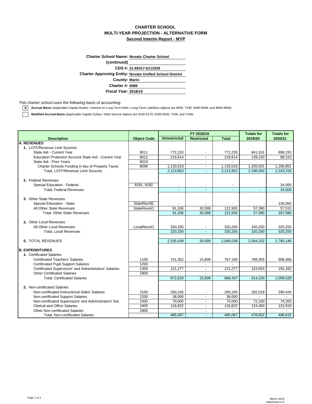### **CHARTER SCHOOL MULTI-YEAR PROJECTION - ALTERNATIVE FORM Second Interim Report - MYP**

| <b>Charter School Name: Novato Charter School</b> |                                                                 |
|---------------------------------------------------|-----------------------------------------------------------------|
| (continued)                                       |                                                                 |
|                                                   | CDS #: 21-65417-6113229                                         |
|                                                   | <b>Charter Approving Entity: Novato Unified School District</b> |
| <b>County: Marin</b>                              |                                                                 |
| <b>Charter #: 0089</b>                            |                                                                 |
| <b>Fiscal Year: 2018/19</b>                       |                                                                 |

*This charter school uses the following basis of accounting:*

 $\overline{\phantom{a}}$ 

**X Accrual Basis** (Applicable Capital Assets / Interest on Long-Term Debt / Long-Term Liabilities objects are 6900, 7438, 9400-9499, and 9660-9669)

**Modified Accrual Basis** (Applicable Capital Outlay / Debt Service objects are 6100-6170, 6200-6500, 7438, and 7439)

|                                                               |                    | FY 2018/19          |                          |                | <b>Totals for</b> | <b>Totals for</b> |  |
|---------------------------------------------------------------|--------------------|---------------------|--------------------------|----------------|-------------------|-------------------|--|
| <b>Description</b>                                            | <b>Object Code</b> | <b>Unrestricted</b> | <b>Restricted</b>        | <b>Total</b>   | 2019/20           | 2020/21           |  |
| <b>A. REVENUES</b>                                            |                    |                     |                          |                |                   |                   |  |
| 1. LCFF/Revenue Limit Sources                                 |                    |                     |                          |                |                   |                   |  |
| State Aid - Current Year                                      | 8011               | 772,220             |                          | 772,220        | 841,531           | 898,155           |  |
| Education Protection Account State Aid - Current Year         | 8012               | 218,614             |                          | 218,614        | 139,230           | 88.310            |  |
| State Aid - Prior Years                                       | 8019               |                     |                          |                |                   |                   |  |
| Charter Schools Funding in lieu of Property Taxes             | 8096               | 1,133,019           |                          | 1,133,019      | 1,205,931         | 1,256,851         |  |
| Total, LCFF/Revenue Limit Sources                             |                    | 2,123,853           | $\overline{a}$           | 2,123,853      | 2,186,692         | 2,243,316         |  |
|                                                               |                    |                     |                          |                |                   |                   |  |
| 2. Federal Revenues                                           |                    |                     |                          |                |                   |                   |  |
| Special Education - Federal<br><b>Total, Federal Revenues</b> | 8181, 8182         |                     |                          | $\overline{a}$ |                   | 34,000<br>34.000  |  |
|                                                               |                    |                     |                          |                |                   |                   |  |
| 3. Other State Revenues                                       |                    |                     |                          |                |                   |                   |  |
| Special Education - State                                     | <b>StateRevSE</b>  |                     |                          |                |                   | 130,065           |  |
| All Other State Revenues                                      | <b>StateRevAO</b>  | 91,336              | 30,599                   | 121,935        | 57,390            | 57,515            |  |
| <b>Total, Other State Revenues</b>                            |                    | 91.336              | 30.599                   | 121,935        | 57,390            | 187,580           |  |
|                                                               |                    |                     |                          |                |                   |                   |  |
| 4. Other Local Revenues                                       |                    |                     |                          |                |                   |                   |  |
| All Other Local Revenues                                      | LocalRevAO         | 320.250             |                          | 320,250        | 320,250           | 320,250           |  |
| <b>Total, Local Revenues</b>                                  |                    | 320.250             | $\overline{\phantom{a}}$ | 320,250        | 320,250           | 320,250           |  |
|                                                               |                    |                     |                          |                |                   |                   |  |
| <b>5. TOTAL REVENUES</b>                                      |                    | 2,535,439           | 30,599                   | 2,566,038      | 2,564,332         | 2,785,146         |  |
| <b>B. EXPENDITURES</b>                                        |                    |                     |                          |                |                   |                   |  |
| 1. Certificated Salaries                                      |                    |                     |                          |                |                   |                   |  |
| <b>Certificated Teachers' Salaries</b>                        | 1100               | 751,352             | 15,808                   | 767,160        | 789,305           | 908,366           |  |
| <b>Certificated Pupil Support Salaries</b>                    | 1200               |                     |                          |                |                   |                   |  |
| Certificated Supervisors' and Administrators' Salaries        | 1300               | 121,277             |                          | 121,277        | 124,915           | 191,162           |  |
| <b>Other Certificated Salaries</b>                            | 1900               |                     |                          |                |                   |                   |  |
| <b>Total, Certificated Salaries</b>                           |                    | 872,629             | 15,808                   | 888,437        | 914,220           | 1,099,528         |  |
|                                                               |                    |                     |                          |                |                   |                   |  |
| 2. Non-certificated Salaries                                  |                    |                     |                          |                |                   |                   |  |
| Non-certificated Instructional Aides' Salaries                | 2100               | 260,245             |                          | 260,245        | 282,019           | 290,434           |  |
| Non-certificated Support Salaries                             | 2200               | 38,000              |                          | 38,000         |                   |                   |  |
| Non-certificated Supervisors' and Administrators' Sal.        | 2300               | 70,000              | $\overline{\phantom{a}}$ | 70,000         | 72,100            | 74,263            |  |
| <b>Clerical and Office Salaries</b>                           | 2400               | 116,822             |                          | 116,822        | 124,483           | 131,918           |  |
| <b>Other Non-certificated Salaries</b>                        | 2900               |                     |                          |                |                   |                   |  |
| <b>Total, Non-certificated Salaries</b>                       |                    | 485,067             |                          | 485,067        | 478,602           | 496,615           |  |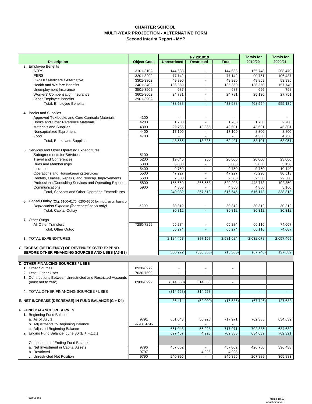### **CHARTER SCHOOL MULTI-YEAR PROJECTION - ALTERNATIVE FORM Second Interim Report - MYP**

|                                                                      |                    |                     | FY 2018/19               |              | <b>Totals for</b> | <b>Totals for</b> |  |
|----------------------------------------------------------------------|--------------------|---------------------|--------------------------|--------------|-------------------|-------------------|--|
| <b>Description</b>                                                   | <b>Object Code</b> | <b>Unrestricted</b> | <b>Restricted</b>        | <b>Total</b> | 2019/20           | 2020/21           |  |
| 3. Employee Benefits                                                 |                    |                     |                          |              |                   |                   |  |
| <b>STRS</b>                                                          | 3101-3102          | 144,638             |                          | 144,638      | 165,748           | 208,470           |  |
| <b>PERS</b>                                                          | 3201-3202          | 77,142              | $\overline{\phantom{a}}$ | 77,142       | 90,761            | 106,437           |  |
| OASDI / Medicare / Alternative                                       | 3301-3302          | 49,990              | $\overline{\phantom{a}}$ | 49,990       | 49,869            | 53,935            |  |
| <b>Health and Welfare Benefits</b>                                   | 3401-3402          | 136,350             | $\overline{\phantom{a}}$ | 136,350      | 136,350           | 157,748           |  |
| Unemployment Insurance                                               | 3501-3502          | 687                 | $\overline{\phantom{a}}$ | 687          | 696               | 798               |  |
| Workers' Compensation Insurance                                      | 3601-3602          | 24,781              | $\blacksquare$           | 24,781       | 25,130            | 27,751            |  |
| Other Employee Benefits                                              | 3901-3902          |                     | $\overline{\phantom{a}}$ |              |                   |                   |  |
| <b>Total, Employee Benefits</b>                                      |                    | 433.588             | $\blacksquare$           | 433,588      | 468,554           | 555,139           |  |
|                                                                      |                    |                     |                          |              |                   |                   |  |
| 4. Books and Supplies                                                |                    |                     |                          |              |                   |                   |  |
| Approved Textbooks and Core Curricula Materials                      | 4100               |                     |                          |              |                   |                   |  |
| Books and Other Reference Materials                                  | 4200               | 1,700               | $\blacksquare$           | 1,700        | 1,700             | 2,700             |  |
| Materials and Supplies                                               | 4300               | 29,765              | 13,836                   | 43,601       | 43,601            | 46,801            |  |
| Noncapitalized Equipment                                             | 4400               | 17,100              | $\blacksquare$           | 17,100       | 8,300             | 8,800             |  |
| Food                                                                 | 4700               | $\mathbf{r}$        | $\overline{a}$           |              | 4,500             | 4,750             |  |
| Total, Books and Supplies                                            |                    | 48,565              | 13,836                   | 62,401       | 58,101            | 63,051            |  |
|                                                                      |                    |                     |                          |              |                   |                   |  |
| 5. Services and Other Operating Expenditures                         |                    |                     |                          |              |                   |                   |  |
| <b>Subagreements for Services</b>                                    | 5100               |                     |                          |              |                   |                   |  |
| <b>Travel and Conferences</b>                                        | 5200               | 19,045              | 955                      | 20,000       | 20,000            | 23,000            |  |
| Dues and Memberships                                                 | 5300               | 5,000               | $\overline{\phantom{a}}$ | 5,000        | 5,000             | 5,150             |  |
| Insurance                                                            | 5400               | 9,750               | $\overline{\phantom{a}}$ | 9,750        | 9,750             | 10.140            |  |
| Operations and Housekeeping Services                                 | 5500               | 47,227              | $\overline{\phantom{a}}$ | 47,227       | 75,290            | 80,513            |  |
| Rentals, Leases, Repairs, and Noncap. Improvements                   | 5600               | 7,500               |                          | 7,500        | 52,500            | 22,500            |  |
| Professional/Consulting Services and Operating Expend.               | 5800               | 155,650             | 366,558                  | 522,208      | 448,773           | 192,350           |  |
| Communications                                                       | 5900               | 4,860               |                          | 4,860        | 4,860             | 5,160             |  |
| Total, Services and Other Operating Expenditures                     |                    | 249.032             | 367,513                  | 616,545      | 616,173           | 338,813           |  |
|                                                                      |                    |                     |                          |              |                   |                   |  |
| 6. Capital Outlay (Obj. 6100-6170, 6200-6500 for mod. accr. basis on |                    |                     |                          |              |                   |                   |  |
| Depreciation Expense (for accrual basis only)                        | 6900               | 30,312              |                          | 30,312       | 30,312            | 30,312            |  |
| <b>Total, Capital Outlay</b>                                         |                    | 30,312              | $\blacksquare$           | 30,312       | 30,312            | 30,312            |  |
|                                                                      |                    |                     |                          |              |                   |                   |  |
|                                                                      |                    |                     |                          |              |                   |                   |  |
| 7. Other Outgo                                                       |                    |                     |                          |              |                   |                   |  |
| All Other Transfers                                                  | 7280-7299          | 65,274              |                          | 65,274       | 66,116            | 74,007            |  |
| Total, Other Outgo                                                   |                    | 65,274              | $\blacksquare$           | 65,274       | 66,116            | 74,007            |  |
|                                                                      |                    |                     |                          |              |                   |                   |  |
| 8. TOTAL EXPENDITURES                                                |                    | 2,184,467           | 397,157                  | 2,581,624    | 2,632,078         | 2,657,465         |  |
|                                                                      |                    |                     |                          |              |                   |                   |  |
| C. EXCESS (DEFICIENCY) OF REVENUES OVER EXPEND.                      |                    |                     |                          |              |                   |                   |  |
| BEFORE OTHER FINANCING SOURCES AND USES (A5-B8)                      |                    | 350,972             | (366, 558)               | (15, 586)    | (67, 746)         | 127,682           |  |
|                                                                      |                    |                     |                          |              |                   |                   |  |
| <b>D. OTHER FINANCING SOURCES / USES</b>                             |                    |                     |                          |              |                   |                   |  |
| 1. Other Sources                                                     | 8930-8979          |                     |                          |              |                   |                   |  |
| 2. Less: Other Uses                                                  | 7630-7699          |                     |                          |              |                   |                   |  |
| 3. Contributions Between Unrestricted and Restricted Accounts        |                    |                     |                          |              |                   |                   |  |
| (must net to zero)                                                   | 8980-8999          | (314, 558)          | 314,558                  |              |                   |                   |  |
|                                                                      |                    |                     |                          |              |                   |                   |  |
| 4. TOTAL OTHER FINANCING SOURCES / USES                              |                    | (314, 558)          | 314,558                  |              |                   |                   |  |
|                                                                      |                    |                     |                          |              |                   |                   |  |
| E. NET INCREASE (DECREASE) IN FUND BALANCE (C + D4)                  |                    | 36,414              | (52,000)                 | (15, 586)    | (67, 746)         | 127,682           |  |
|                                                                      |                    |                     |                          |              |                   |                   |  |
| <b>F. FUND BALANCE, RESERVES</b>                                     |                    |                     |                          |              |                   |                   |  |
| 1. Beginning Fund Balance                                            |                    |                     |                          |              |                   |                   |  |
|                                                                      |                    |                     |                          |              |                   |                   |  |
| a. As of July 1                                                      | 9791               | 661,043             | 56,928                   | 717,971      | 702,385           | 634,639           |  |
| b. Adjustments to Beginning Balance                                  | 9793, 9795         |                     |                          |              |                   |                   |  |
| c. Adjusted Beginning Balance                                        |                    | 661,043             | 56,928                   | 717,971      | 702,385           | 634,639           |  |
| 2. Ending Fund Balance, June 30 ( $E + F.1.c.$ )                     |                    | 697,457             | 4,928                    | 702,385      | 634,639           | 762,321           |  |
|                                                                      |                    |                     |                          |              |                   |                   |  |
| Components of Ending Fund Balance:                                   |                    |                     |                          |              |                   |                   |  |
| a. Net Investment in Capital Assets                                  | 9796               | 457,062             |                          | 457,062      | 426,750           | 396,438           |  |
| <b>b</b> Restricted                                                  | 9797               |                     | 4,928                    | 4,928        |                   |                   |  |
| c. Unrestricted Net Position                                         | 9790               | 240,395             |                          | 240,395      | 207,889           | 365,883           |  |
|                                                                      |                    |                     |                          |              |                   |                   |  |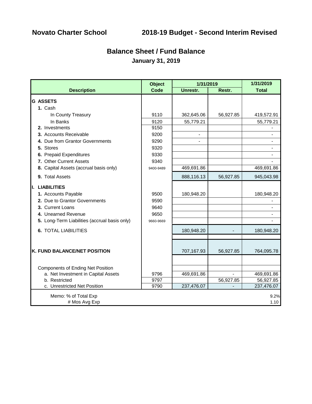# **Balance Sheet / Fund Balance**

**January 31, 2019**

|                                               | <b>Object</b> | 1/31/2019      |           | 1/31/2019    |  |
|-----------------------------------------------|---------------|----------------|-----------|--------------|--|
| <b>Description</b>                            | <b>Code</b>   | Unrestr.       | Restr.    | <b>Total</b> |  |
| <b>G ASSETS</b>                               |               |                |           |              |  |
| 1. Cash                                       |               |                |           |              |  |
|                                               | 9110          |                |           |              |  |
| In County Treasury                            |               | 362,645.06     | 56,927.85 | 419,572.91   |  |
| In Banks                                      | 9120          | 55,779.21      |           | 55,779.21    |  |
| 2. Investments                                | 9150          |                |           |              |  |
| 3. Accounts Receivable                        | 9200          | $\blacksquare$ |           |              |  |
| 4. Due from Grantor Governments               | 9290          |                |           |              |  |
| 5. Stores                                     | 9320          |                |           |              |  |
| 6. Prepaid Expenditures                       | 9330          |                |           |              |  |
| 7. Other Current Assets                       | 9340          |                |           |              |  |
| 8. Capital Assets (accrual basis only)        | 9400-9489     | 469,691.86     |           | 469,691.86   |  |
| 9. Total Assets                               |               | 888,116.13     | 56,927.85 | 945,043.98   |  |
| I. LIABILITIES                                |               |                |           |              |  |
| 1. Accounts Payable                           | 9500          | 180,948.20     |           | 180,948.20   |  |
| 2. Due to Grantor Governments                 | 9590          |                |           |              |  |
| 3. Current Loans                              | 9640          |                |           |              |  |
| 4. Unearned Revenue                           | 9650          |                |           |              |  |
| 5. Long-Term Liabilities (accrual basis only) | 9660-9669     |                |           |              |  |
| <b>6. TOTAL LIABILITIES</b>                   |               | 180,948.20     |           | 180,948.20   |  |
|                                               |               |                |           |              |  |
| <b>K. FUND BALANCE/NET POSITION</b>           |               | 707,167.93     | 56,927.85 | 764,095.78   |  |
|                                               |               |                |           |              |  |
| <b>Components of Ending Net Position</b>      |               |                |           |              |  |
| a. Net Investment in Capital Assets           | 9796          | 469,691.86     |           | 469,691.86   |  |
| b. Restricted                                 | 9797          |                | 56,927.85 | 56,927.85    |  |
| c. Unrestricted Net Position                  | 9790          | 237,476.07     |           | 237,476.07   |  |
| Memo: % of Total Exp                          |               |                |           | 9.2%         |  |
| # Mos Avg Exp                                 |               |                |           | 1.10         |  |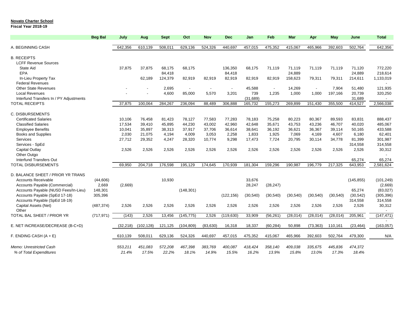### **Novato Charter School**

### **Fiscal Year 2018-19**

|                                         | <b>Beg Bal</b> | July     | Aug        | <b>Sept</b> | Oct            | <b>Nov</b> | <b>Dec</b> | Jan       | Feb            | Mar       | Apr            | May       | June       | <b>Total</b> |
|-----------------------------------------|----------------|----------|------------|-------------|----------------|------------|------------|-----------|----------------|-----------|----------------|-----------|------------|--------------|
| A. BEGINNING CASH                       |                | 642,356  | 610,139    | 508,011     | 629,136        | 524,326    | 440,697    | 457,015   | 475,352        | 415,067   | 465,966        | 392,603   | 502,764    | 642,356      |
| <b>B. RECEIPTS</b>                      |                |          |            |             |                |            |            |           |                |           |                |           |            |              |
| <b>LCFF Revenue Sources</b>             |                |          |            |             |                |            |            |           |                |           |                |           |            |              |
| State Aid                               |                | 37.875   | 37.875     | 68.175      | 68.175         |            | 136,350    | 68.175    | 71.119         | 71.119    | 71.119         | 71.119    | 71.120     | 772.220      |
| EPA                                     |                |          |            | 84,418      |                |            | 84,418     |           |                | 24,889    |                |           | 24.889     | 218.614      |
| In-Lieu Property Tax                    |                |          | 62,189     | 124,379     | 82,919         | 82,919     | 82,919     | 82,919    | 82,919         | 158,623   | 79,311         | 79,311    | 214,611    | 1,133,019    |
| <b>Federal Revenues</b>                 |                |          |            |             |                |            |            |           |                |           |                |           |            |              |
| <b>Other State Revenues</b>             |                |          |            | 2,695       | $\blacksquare$ | $\sim$     | $\sim$     | 45,588    | $\blacksquare$ | 14,269    | $\blacksquare$ | 7,904     | 51,480     | 121,935      |
| <b>Local Revenues</b>                   |                |          |            | 4,600       | 85,000         | 5,570      | 3,201      | 739       | 1,235          | 1,000     | 1,000          | 197,166   | 20,739     | 320,250      |
| Interfund Transfers In / PY Adjustments |                |          |            |             |                |            |            | (31,689)  |                |           |                |           | 31,689     | $\sim$       |
| <b>TOTAL RECEIPTS</b>                   |                | 37,875   | 100.064    | 284,267     | 236,094        | 88,489     | 306,888    | 165,732   | 155,273        | 269,899   | 151.430        | 355.500   | 414,527    | 2,566,038    |
|                                         |                |          |            |             |                |            |            |           |                |           |                |           |            |              |
| <b>C. DISBURSEMENTS</b>                 |                |          |            |             |                |            |            |           |                |           |                |           |            |              |
| <b>Certificated Salaries</b>            |                | 10,106   | 76,458     | 81,423      | 78,127         | 77,583     | 77,283     | 78,183    | 75,258         | 80,223    | 80,367         | 89,593    | 83,831     | 888,437      |
| <b>Classified Salaries</b>              |                | 17.534   | 39,410     | 45.895      | 44,230         | 43,002     | 42,960     | 42,648    | 35,671         | 43,753    | 43,236         | 46,707    | 40,020     | 485,067      |
| <b>Employee Benefits</b>                |                | 10,041   | 35,897     | 38,313      | 37,917         | 37,706     | 36,614     | 38,641    | 36,192         | 36,621    | 36,367         | 39,114    | 50,165     | 433,588      |
| <b>Books and Supplies</b>               |                | 2,030    | 21,075     | 4,194       | 4,009          | 3,053      | 2,258      | 1,833     | 1,925          | 7,069     | 4,169          | 4,607     | 6,180      | 62,401       |
| <b>Services</b>                         |                | 27,712   | 29,352     | 4,247       | 28,320         | 10,774     | 9,298      | 17,473    | 7.724          | 20,795    | 30,114         | 34.778    | 81,399     | 301,987      |
| Services - SpEd                         |                |          |            |             |                |            |            |           |                |           |                |           | 314,558    | 314,558      |
| Capital Outlay                          |                | 2.526    | 2,526      | 2.526       | 2,526          | 2.526      | 2,526      | 2,526     | 2,526          | 2,526     | 2,526          | 2.526     | 2,526      | 30,312       |
| Other Outgo                             |                |          |            |             |                |            |            |           |                |           |                |           |            |              |
| Interfund Transfers Out                 |                |          |            |             |                |            |            |           |                |           |                |           | 65,274     | 65,274       |
| <b>TOTAL DISBURSEMENTS</b>              |                | 69,950   | 204,718    | 176,598     | 195,129        | 174,645    | 170,939    | 181,304   | 159,296        | 190,987   | 196,779        | 217,325   | 643,953    | 2,581,624    |
|                                         |                |          |            |             |                |            |            |           |                |           |                |           |            |              |
| D. BALANCE SHEET / PRIOR YR TRANS       |                |          |            |             |                |            |            |           |                |           |                |           |            |              |
| <b>Accounts Receivable</b>              | (44, 606)      |          |            | 10,930      |                |            |            | 33,676    |                |           |                |           | (145, 855) | (101, 249)   |
| Accounts Payable (Commercial)           | 2,669          | (2,669)  |            |             |                |            |            | 28,247    | (28, 247)      |           |                |           |            | (2,669)      |
| Accounts Payable (NUSD Fees/In-Lieu)    | 148,301        |          |            |             | (148, 301)     |            |            |           |                |           |                |           | 65,274     | (83,027)     |
| Accounts Payable (SpEd 17-18)           | 305,396        |          |            |             |                |            | (122, 156) | (30, 540) | (30, 540)      | (30, 540) | (30, 540)      | (30, 540) | (30, 542)  | (305, 396)   |
| Accounts Payable (SpEd 18-19)           |                |          |            |             |                |            |            |           |                |           |                |           | 314,558    | 314,558      |
| Capital Assets (Net)                    | (487, 374)     | 2,526    | 2,526      | 2,526       | 2,526          | 2,526      | 2,526      | 2,526     | 2,526          | 2,526     | 2,526          | 2,526     | 2,526      | 30,312       |
| Other                                   |                |          |            |             |                |            |            |           |                |           |                |           |            |              |
| TOTAL BAL SHEET / PRIOR YR              | (717, 971)     | (143)    | 2,526      | 13,456      | (145, 775)     | 2,526      | (119, 630) | 33,909    | (56, 261)      | (28, 014) | (28, 014)      | (28, 014) | 205,961    | (147, 471)   |
|                                         |                |          |            |             |                |            |            |           |                |           |                |           |            |              |
| E. NET INCREASE/DECREASE (B-C+D)        |                | (32.218) | (102, 128) | 121,125     | (104, 809)     | (83, 630)  | 16,318     | 18,337    | (60, 284)      | 50.898    | (73, 363)      | 110.161   | (23,464)   | (163, 057)   |
| F. ENDING CASH $(A + E)$                |                | 610,139  | 508,011    | 629,136     | 524,326        | 440,697    | 457,015    | 475,352   | 415,067        | 465,966   | 392,603        | 502,764   | 479,300    | N/A          |
| Memo: Unrestricted Cash                 |                | 553.211  | 451,083    | 572,208     | 467,398        | 383,769    | 400,087    | 418,424   | 358,140        | 409,038   | 335,675        | 445,836   | 474,372    |              |
| % of Total Expenditures                 |                | 21.4%    | 17.5%      | 22.2%       | 18.1%          | 14.9%      | 15.5%      | 16.2%     | 13.9%          | 15.8%     | 13.0%          | 17.3%     | 18.4%      |              |
|                                         |                |          |            |             |                |            |            |           |                |           |                |           |            |              |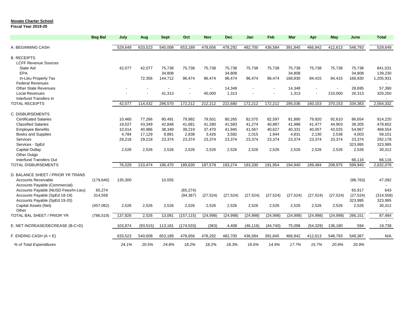### **Novato Charter School**

### **Fiscal Year 2019-20**

|                                                                       | <b>Beg Bal</b> | July    | Aug       | <b>Sept</b> | Oct        | <b>Nov</b> | <b>Dec</b> | Jan       | Feb       | <b>Mar</b> | Apr       | May       | June      | <b>Total</b>             |
|-----------------------------------------------------------------------|----------------|---------|-----------|-------------|------------|------------|------------|-----------|-----------|------------|-----------|-----------|-----------|--------------------------|
| A. BEGINNING CASH                                                     |                | 529,649 | 633,523   | 540,008     | 653,189    | 478,656    | 478,292    | 482,700   | 436,584   | 391,845    | 466,942   | 412,613   | 548,793   | 529,649                  |
| <b>B. RECEIPTS</b>                                                    |                |         |           |             |            |            |            |           |           |            |           |           |           |                          |
| <b>LCFF Revenue Sources</b>                                           |                |         |           |             |            |            |            |           |           |            |           |           |           |                          |
| State Aid                                                             |                | 42,077  | 42,077    | 75,738      | 75,738     | 75,738     | 75,738     | 75,738    | 75,738    | 75,738     | 75,738    | 75,738    | 75,738    | 841,531                  |
| <b>EPA</b>                                                            |                |         |           | 34,808      |            |            | 34,808     |           |           | 34,808     |           |           | 34,808    | 139,230                  |
| In-Lieu Property Tax                                                  |                |         | 72,356    | 144,712     | 96,474     | 96,474     | 96,474     | 96,474    | 96,474    | 168,830    | 84,415    | 84,415    | 168,830   | 1,205,931                |
| <b>Federal Revenues</b>                                               |                |         |           |             |            |            |            |           |           |            |           |           |           |                          |
| <b>Other State Revenues</b>                                           |                |         |           |             |            |            | 14,348     |           |           | 14,348     |           |           | 28,695    | 57,390                   |
| <b>Local Revenues</b>                                                 |                |         |           | 41,313      |            | 40.000     | 1,313      |           |           | 1,313      |           | 210,000   | 26,313    | 320,250                  |
| Interfund Transfers In                                                |                |         |           |             |            |            |            |           |           |            |           |           |           |                          |
| <b>TOTAL RECEIPTS</b>                                                 |                | 42.077  | 114.432   | 296,570     | 172.212    | 212,212    | 222,680    | 172.212   | 172,212   | 295,036    | 160.153   | 370,153   | 334,383   | 2,564,332                |
| <b>C. DISBURSEMENTS</b>                                               |                |         |           |             |            |            |            |           |           |            |           |           |           |                          |
| <b>Certificated Salaries</b>                                          |                | 10.460  | 77,266    | 80,491      | 79,992     | 79,501     | 80,265     | 82,575    | 82,597    | 81,890     | 79,920    | 92,610    | 86,654    | 914,220                  |
| <b>Classified Salaries</b>                                            |                | 19.027  | 43,349    | 42.848      | 41,681     | 41,280     | 41,583     | 41,274    | 40,887    | 41,988     | 41.477    | 44,903    | 38,305    | 478,602                  |
| <b>Employee Benefits</b>                                              |                | 10,014  | 40,986    | 38,349      | 39,219     | 37,470     | 41,945     | 41,567    | 40,627    | 40,331     | 40,057    | 43,025    | 54,967    | 468,554                  |
| <b>Books and Supplies</b>                                             |                | 4,784   | 17,129    | 8,881       | 2,838      | 3,426      | 3,582      | 2,015     | 1,944     | 4,831      | 2,130     | 2,538     | 4,003     | 58,101                   |
| <b>Services</b>                                                       |                | 29,218  | 29,218    | 23,374      | 23,374     | 23,374     | 23,374     | 23,374    | 23,374    | 23,374     | 23,374    | 23,374    | 23,374    | 292,178                  |
| Services - SpEd                                                       |                |         |           |             |            |            |            |           |           |            |           |           | 323,995   | 323,995                  |
| <b>Capital Outlay</b>                                                 |                | 2,526   | 2,526     | 2,526       | 2,526      | 2,526      | 2,526      | 2,526     | 2,526     | 2,526      | 2,526     | 2,526     | 2,526     | 30,312                   |
| Other Outgo                                                           |                |         |           |             |            |            |            |           |           |            |           |           |           |                          |
| <b>Interfund Transfers Out</b>                                        |                |         |           |             |            |            |            |           |           |            |           |           | 66,116    | 66,116                   |
| <b>TOTAL DISBURSEMENTS</b>                                            |                | 76,029  | 210,474   | 196,470     | 189,630    | 187,578    | 193,274    | 193,330   | 191,954   | 194,940    | 189,484   | 208,975   | 599,940   | 2,632,078                |
| D. BALANCE SHEET / PRIOR YR TRANS                                     |                |         |           |             |            |            |            |           |           |            |           |           |           |                          |
| <b>Accounts Receivable</b>                                            | (179, 640)     | 135,300 |           | 10,555      |            |            |            |           |           |            |           |           | (98, 763) | 47,092                   |
| Accounts Payable (Commercial)<br>Accounts Payable (NUSD Fees/In-Lieu) | 65,274         |         |           |             | (65, 274)  |            |            |           |           |            |           |           | 65,917    | 643                      |
| Accounts Payable (SpEd 18-19)                                         | 314,558        |         |           |             | (94, 367)  | (27, 524)  | (27, 524)  | (27, 524) | (27, 524) | (27, 524)  | (27, 524) | (27, 524) | (27, 524) | (314, 558)               |
| Accounts Payable (SpEd 19-20)                                         |                |         |           |             |            |            |            |           |           |            |           |           | 323,995   | 323,995                  |
| Capital Assets (Net)                                                  | (457,062)      | 2,526   | 2,526     | 2,526       | 2,526      | 2,526      | 2,526      | 2,526     | 2,526     | 2,526      | 2,526     | 2,526     | 2,526     | 30,312                   |
| Other                                                                 |                |         |           |             |            |            |            |           |           |            |           |           |           | $\overline{\phantom{a}}$ |
| TOTAL BAL SHEET / PRIOR YR                                            | (786, 519)     | 137,826 | 2,526     | 13,081      | (157, 115) | (24, 998)  | (24, 998)  | (24, 998) | (24, 998) | (24, 998)  | (24, 998) | (24, 998) | 266,151   | 87,484                   |
| E. NET INCREASE/DECREASE (B-C+D)                                      |                | 103,874 | (93, 515) | 113,181     | (174, 533) | (363)      | 4,408      | (46, 116) | (44, 740) | 75,098     | (54, 329) | 136,180   | 594       | 19,738                   |
| F. ENDING CASH $(A + E)$                                              |                | 633,523 | 540,008   | 653,189     | 478,656    | 478,292    | 482,700    | 436,584   | 391,845   | 466,942    | 412,613   | 548.793   | 549,387   | N/A                      |
| % of Total Expenditures                                               |                | 24.1%   | 20.5%     | 24.8%       | 18.2%      | 18.2%      | 18.3%      | 16.6%     | 14.9%     | 17.7%      | 15.7%     | 20.9%     | 20.9%     |                          |